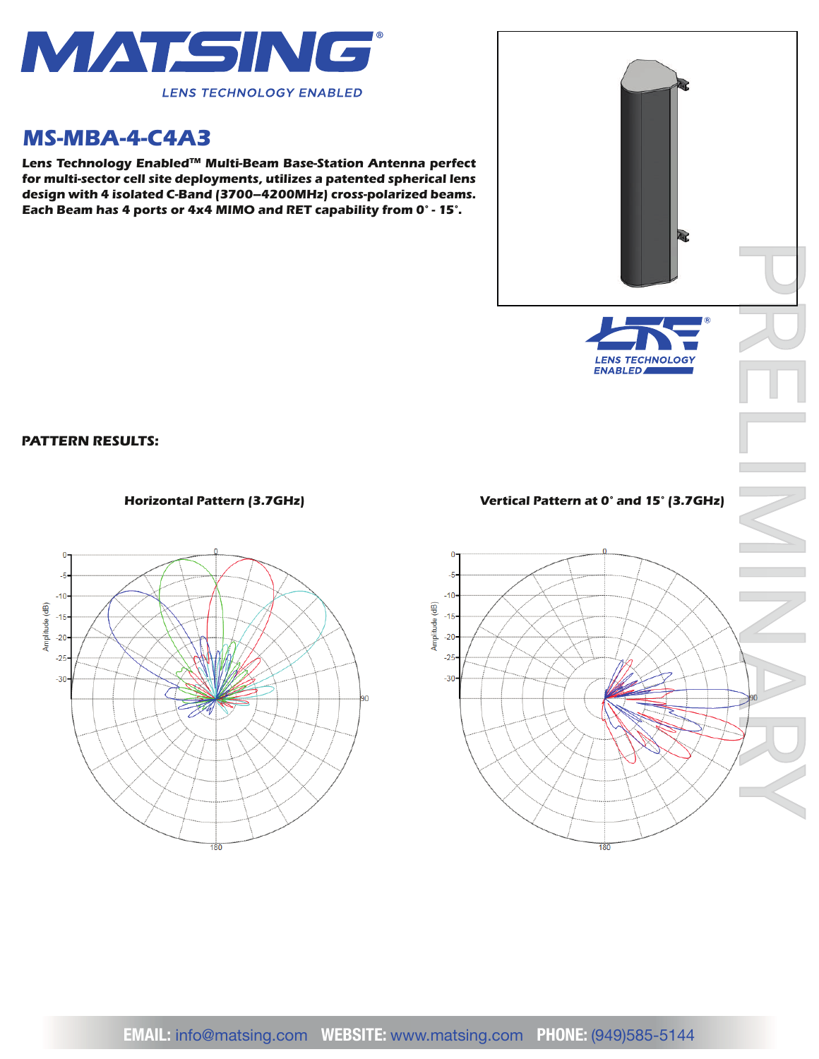

## *MS-MBA-4-C4A3*

*Lens Technology EnabledTM Multi-Beam Base-Station Antenna perfect for multi-sector cell site deployments, utilizes a patented spherical lens design with 4 isolated C-Band (3700–4200MHz) cross-polarized beams. Each Beam has 4 ports or 4x4 MIMO and RET capability from 0° - 15°.*



*PATTERN RESULTS:*





## *Horizontal Pattern (3.7GHz) Vertical Pattern at 0° and 15° (3.7GHz)*